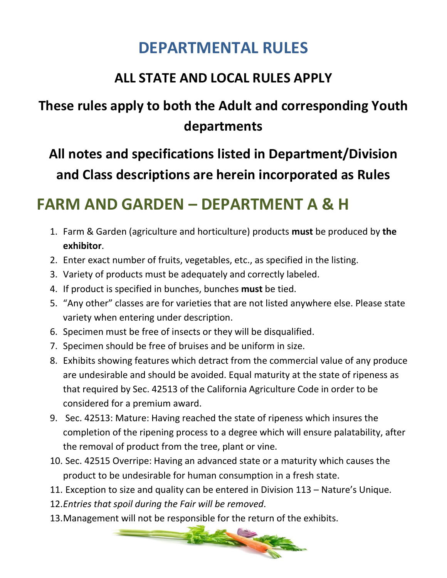### **DEPARTMENTAL RULES**

### **ALL STATE AND LOCAL RULES APPLY**

### **These rules apply to both the Adult and corresponding Youth departments**

### **All notes and specifications listed in Department/Division and Class descriptions are herein incorporated as Rules**

### **FARM AND GARDEN – DEPARTMENT A & H**

- 1. Farm & Garden (agriculture and horticulture) products **must** be produced by **the exhibitor**.
- 2. Enter exact number of fruits, vegetables, etc., as specified in the listing.
- 3. Variety of products must be adequately and correctly labeled.
- 4. If product is specified in bunches, bunches **must** be tied.
- 5. "Any other" classes are for varieties that are not listed anywhere else. Please state variety when entering under description.
- 6. Specimen must be free of insects or they will be disqualified.
- 7. Specimen should be free of bruises and be uniform in size.
- 8. Exhibits showing features which detract from the commercial value of any produce are undesirable and should be avoided. Equal maturity at the state of ripeness as that required by Sec. 42513 of the California Agriculture Code in order to be considered for a premium award.
- 9. Sec. 42513: Mature: Having reached the state of ripeness which insures the completion of the ripening process to a degree which will ensure palatability, after the removal of product from the tree, plant or vine.
- 10. Sec. 42515 Overripe: Having an advanced state or a maturity which causes the product to be undesirable for human consumption in a fresh state.
- 11. Exception to size and quality can be entered in Division 113 Nature's Unique.
- 12.*Entries that spoil during the Fair will be removed*.
- 

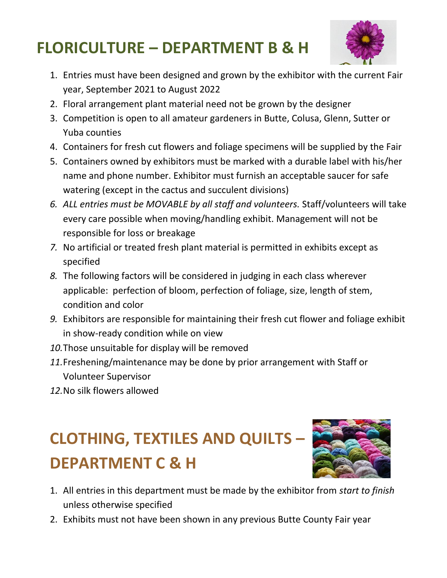# **FLORICULTURE – DEPARTMENT B & H**



- 1. Entries must have been designed and grown by the exhibitor with the current Fair year, September 2021 to August 2022
- 2. Floral arrangement plant material need not be grown by the designer
- 3. Competition is open to all amateur gardeners in Butte, Colusa, Glenn, Sutter or Yuba counties
- 4. Containers for fresh cut flowers and foliage specimens will be supplied by the Fair
- 5. Containers owned by exhibitors must be marked with a durable label with his/her name and phone number. Exhibitor must furnish an acceptable saucer for safe watering (except in the cactus and succulent divisions)
- *6. ALL entries must be MOVABLE by all staff and volunteers.* Staff/volunteers will take every care possible when moving/handling exhibit. Management will not be responsible for loss or breakage
- *7.* No artificial or treated fresh plant material is permitted in exhibits except as specified
- *8.* The following factors will be considered in judging in each class wherever applicable: perfection of bloom, perfection of foliage, size, length of stem, condition and color
- *9.* Exhibitors are responsible for maintaining their fresh cut flower and foliage exhibit in show-ready condition while on view
- *10.*Those unsuitable for display will be removed
- *11.*Freshening/maintenance may be done by prior arrangement with Staff or Volunteer Supervisor
- *12.*No silk flowers allowed

# **CLOTHING, TEXTILES AND QUILTS – DEPARTMENT C & H**



- 1. All entries in this department must be made by the exhibitor from *start to finish* unless otherwise specified
- 2. Exhibits must not have been shown in any previous Butte County Fair year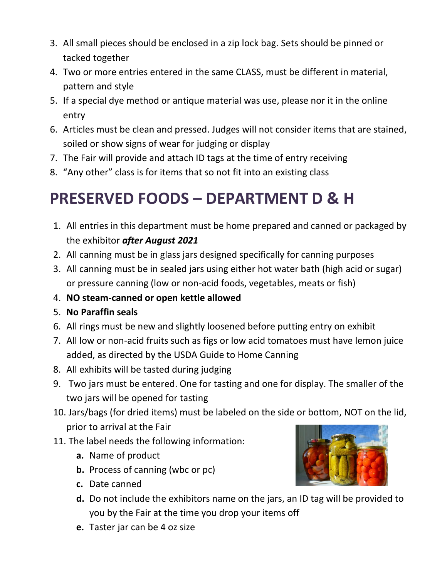- 3. All small pieces should be enclosed in a zip lock bag. Sets should be pinned or tacked together
- 4. Two or more entries entered in the same CLASS, must be different in material, pattern and style
- 5. If a special dye method or antique material was use, please nor it in the online entry
- 6. Articles must be clean and pressed. Judges will not consider items that are stained, soiled or show signs of wear for judging or display
- 7. The Fair will provide and attach ID tags at the time of entry receiving
- 8. "Any other" class is for items that so not fit into an existing class

### **PRESERVED FOODS – DEPARTMENT D & H**

- 1. All entries in this department must be home prepared and canned or packaged by the exhibitor *after August 2021*
- 2. All canning must be in glass jars designed specifically for canning purposes
- 3. All canning must be in sealed jars using either hot water bath (high acid or sugar) or pressure canning (low or non-acid foods, vegetables, meats or fish)
- 4. **NO steam-canned or open kettle allowed**
- 5. **No Paraffin seals**
- 6. All rings must be new and slightly loosened before putting entry on exhibit
- 7. All low or non-acid fruits such as figs or low acid tomatoes must have lemon juice added, as directed by the USDA Guide to Home Canning
- 8. All exhibits will be tasted during judging
- 9. Two jars must be entered. One for tasting and one for display. The smaller of the two jars will be opened for tasting
- 10. Jars/bags (for dried items) must be labeled on the side or bottom, NOT on the lid, prior to arrival at the Fair
- 11. The label needs the following information:
	- **a.** Name of product
	- **b.** Process of canning (wbc or pc)
	- **c.** Date canned
	- **d.** Do not include the exhibitors name on the jars, an ID tag will be provided to you by the Fair at the time you drop your items off
	- **e.** Taster jar can be 4 oz size

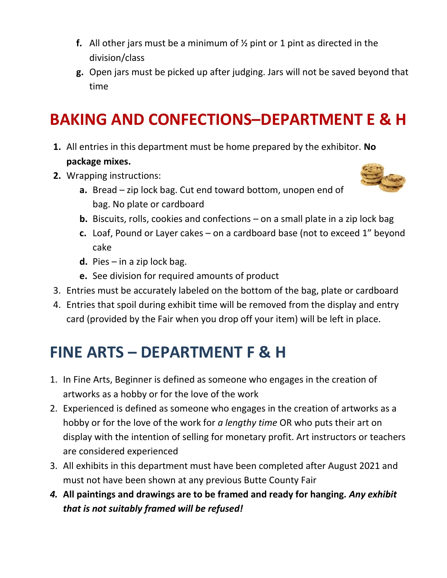- **f.** All other jars must be a minimum of ½ pint or 1 pint as directed in the division/class
- **g.** Open jars must be picked up after judging. Jars will not be saved beyond that time

# **BAKING AND CONFECTIONS–DEPARTMENT E & H**

- **1.** All entries in this department must be home prepared by the exhibitor. **No package mixes.**
- **2.** Wrapping instructions:



- **a.** Bread zip lock bag. Cut end toward bottom, unopen end of bag. No plate or cardboard
- **b.** Biscuits, rolls, cookies and confections on a small plate in a zip lock bag
- **c.** Loaf, Pound or Layer cakes on a cardboard base (not to excee[d 1" bey](https://creativecommons.org/licenses/by-sa/3.0/)ond cake
- **d.** Pies in a zip lock bag.
- **e.** See division for required amounts of product
- 3. Entries must be accurately labeled on the bottom of the bag, plate or cardboard
- 4. Entries that spoil during exhibit time will be removed from the display and entry card (provided by the Fair when you drop off your item) will be left in place.

### **FINE ARTS – DEPARTMENT F & H**

- 1. In Fine Arts, Beginner is defined as someone who engages in the creation of artworks as a hobby or for the love of the work
- 2. Experienced is defined as someone who engages in the creation of artworks as a hobby or for the love of the work for *a lengthy time* OR who puts their art on display with the intention of selling for monetary profit. Art instructors or teachers are considered experienced
- 3. All exhibits in this department must have been completed after August 2021 and must not have been shown at any previous Butte County Fair
- *4.* **All paintings and drawings are to be framed and ready for hanging***. Any exhibit that is not suitably framed will be refused!*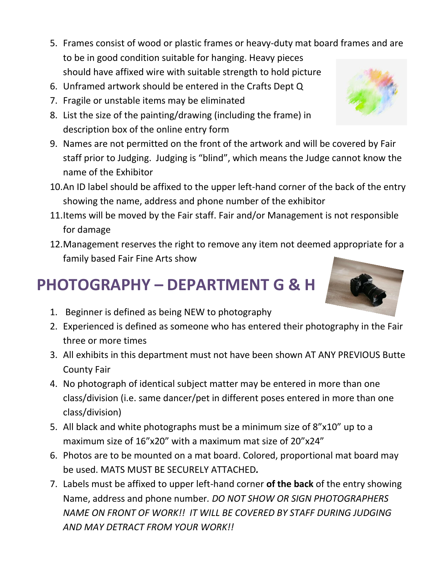- 5. Frames consist of wood or plastic frames or heavy-duty mat board frames and are to be in good condition suitable for hanging. Heavy pieces should have affixed wire with suitable strength to hold picture
- 6. Unframed artwork should be entered in the Crafts Dept Q
- 7. Fragile or unstable items may be eliminated
- 8. List the size of the painting/drawing (including the frame) in description box of the online entry form
- 9. Names are not permitted on the front of the artwork and will be covered by Fair staff prior to Judging. Judging is "blind", which means the Judge cannot know the name of the Exhibitor
- 10.An ID label should be affixed to the upper left-hand corner of the back of the entry showing the name, address and phone number of the exhibitor
- 11.Items will be moved by the Fair staff. Fair and/or Management is not responsible for damage
- 12.Management reserves the right to remove any item not deemed appropriate for a family based Fair Fine Arts show

### **PHOTOGRAPHY – DEPARTMENT G & H**

- 1. Beginner is defined as being NEW to photography
- 2. Experienced is defined as someone who has entered their photography in the Fair three or more times
- 3. All exhibits in this department must not have been shown AT ANY PREVIOUS Butte County Fair
- 4. No photograph of identical subject matter may be entered in more than one class/division (i.e. same dancer/pet in different poses entered in more than one class/division)
- 5. All black and white photographs must be a minimum size of 8"x10" up to a maximum size of 16"x20" with a maximum mat size of 20"x24"
- 6. Photos are to be mounted on a mat board. Colored, proportional mat board may be used. MATS MUST BE SECURELY ATTACHED*.*
- 7. Labels must be affixed to upper left-hand corner **of the back** of the entry showing Name, address and phone number*. DO NOT SHOW OR SIGN PHOTOGRAPHERS NAME ON FRONT OF WORK!! IT WILL BE COVERED BY STAFF DURING JUDGING AND MAY DETRACT FROM YOUR WORK!!*



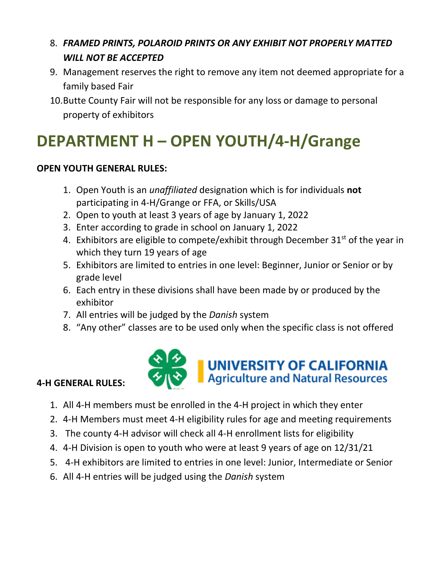#### 8. *FRAMED PRINTS, POLAROID PRINTS OR ANY EXHIBIT NOT PROPERLY MATTED WILL NOT BE ACCEPTED*

- 9. Management reserves the right to remove any item not deemed appropriate for a family based Fair
- 10.Butte County Fair will not be responsible for any loss or damage to personal property of exhibitors

# **DEPARTMENT H – OPEN YOUTH/4-H/Grange**

#### **OPEN YOUTH GENERAL RULES:**

- 1. Open Youth is an *unaffiliated* designation which is for individuals **not** participating in 4-H/Grange or FFA, or Skills/USA
- 2. Open to youth at least 3 years of age by January 1, 2022
- 3. Enter according to grade in school on January 1, 2022
- 4. Exhibitors are eligible to compete/exhibit through December  $31^{st}$  of the year in which they turn 19 years of age
- 5. Exhibitors are limited to entries in one level: Beginner, Junior or Senior or by grade level
- 6. Each entry in these divisions shall have been made by or produced by the exhibitor
- 7. All entries will be judged by the *Danish* system
- 8. "Any other" classes are to be used only when the specific class is not offered



#### **4-H GENERAL RULES:**

- 1. All 4-H members must be enrolled in the 4-H project in which they enter
- 2. 4-H Members must meet 4-H eligibility rules for age and meeting requirements
- 3. The county 4-H advisor will check all 4-H enrollment lists for eligibility
- 4. 4-H Division is open to youth who were at least 9 years of age on 12/31/21
- 5. 4-H exhibitors are limited to entries in one level: Junior, Intermediate or Senior
- 6. All 4-H entries will be judged using the *Danish* system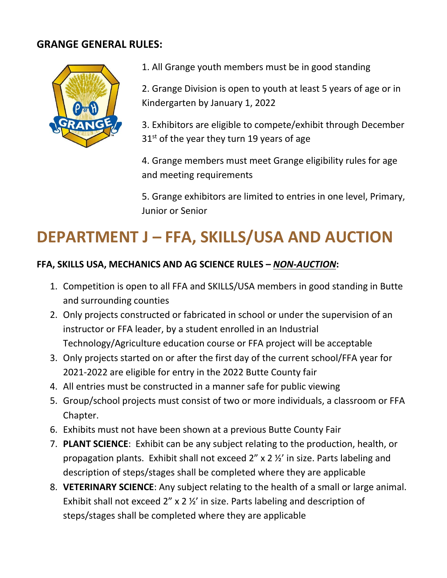#### **GRANGE GENERAL RULES:**



1. All Grange youth members must be in good standing

2. Grange Division is open to youth at least 5 years of age or in Kindergarten by January 1, 2022

3. Exhibitors are eligible to compete/exhibit through December  $31<sup>st</sup>$  of the year they turn 19 years of age

4. Grange members must meet Grange eligibility rules for age and meeting requirements

5. Grange exhibitors are limited to entries in one level, Primary, Junior or Senior

# **DEPARTMENT J – FFA, SKILLS/USA AND AUCTION**

#### **FFA, SKILLS USA, MECHANICS AND AG SCIENCE RULES –** *NON-AUCTION***:**

- 1. Competition is open to all FFA and SKILLS/USA members in good standing in Butte and surrounding counties
- 2. Only projects constructed or fabricated in school or under the supervision of an instructor or FFA leader, by a student enrolled in an Industrial Technology/Agriculture education course or FFA project will be acceptable
- 3. Only projects started on or after the first day of the current school/FFA year for 2021-2022 are eligible for entry in the 2022 Butte County fair
- 4. All entries must be constructed in a manner safe for public viewing
- 5. Group/school projects must consist of two or more individuals, a classroom or FFA Chapter.
- 6. Exhibits must not have been shown at a previous Butte County Fair
- 7. **PLANT SCIENCE**: Exhibit can be any subject relating to the production, health, or propagation plants. Exhibit shall not exceed 2" x 2 ½' in size. Parts labeling and description of steps/stages shall be completed where they are applicable
- 8. **VETERINARY SCIENCE**: Any subject relating to the health of a small or large animal. Exhibit shall not exceed 2" x 2 ½' in size. Parts labeling and description of steps/stages shall be completed where they are applicable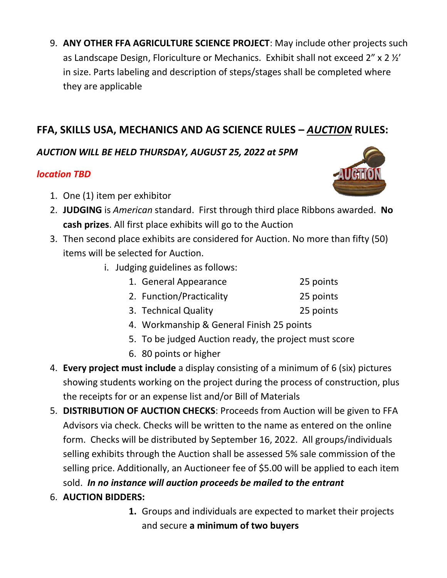9. **ANY OTHER FFA AGRICULTURE SCIENCE PROJECT**: May include other projects such as Landscape Design, Floriculture or Mechanics. Exhibit shall not exceed 2" x 2 ½' in size. Parts labeling and description of steps/stages shall be completed where they are applicable

#### **FFA, SKILLS USA, MECHANICS AND AG SCIENCE RULES –** *AUCTION* **RULES:**

#### *AUCTION WILL BE HELD THURSDAY, AUGUST 25, 2022 at 5PM*

#### *location TBD*

- 1. One (1) item per exhibitor
- 2. **JUDGING** is *American* standard. First through third place Ribbon[s awarde](http://www.pngall.com/auction-png)d. **No cash prizes**. All first place exhibits will go to the Auction
- 3. Then second place exhibits are considered for Auction. No more [than fift](https://creativecommons.org/licenses/by-nc/3.0/)y (50) items will be selected for Auction.
	- i. Judging guidelines as follows:
		- 1. General Appearance 25 points
		- 2. Function/Practicality 25 points
		- 3. Technical Quality 25 points
		- 4. Workmanship & General Finish 25 points
		- 5. To be judged Auction ready, the project must score
		- 6. 80 points or higher
- 4. **Every project must include** a display consisting of a minimum of 6 (six) pictures showing students working on the project during the process of construction, plus the receipts for or an expense list and/or Bill of Materials
- 5. **DISTRIBUTION OF AUCTION CHECKS**: Proceeds from Auction will be given to FFA Advisors via check. Checks will be written to the name as entered on the online form. Checks will be distributed by September 16, 2022. All groups/individuals selling exhibits through the Auction shall be assessed 5% sale commission of the selling price. Additionally, an Auctioneer fee of \$5.00 will be applied to each item sold. *In no instance will auction proceeds be mailed to the entrant*
- 6. **AUCTION BIDDERS:**
	- **1.** Groups and individuals are expected to market their projects and secure **a minimum of two buyers**

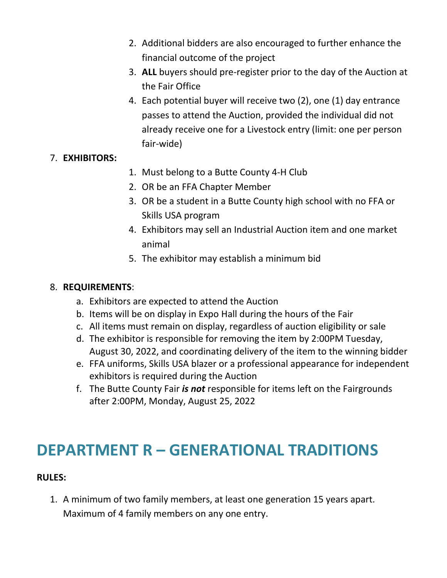- 2. Additional bidders are also encouraged to further enhance the financial outcome of the project
- 3. **ALL** buyers should pre-register prior to the day of the Auction at the Fair Office
- 4. Each potential buyer will receive two (2), one (1) day entrance passes to attend the Auction, provided the individual did not already receive one for a Livestock entry (limit: one per person fair-wide)

#### 7. **EXHIBITORS:**

- 1. Must belong to a Butte County 4-H Club
- 2. OR be an FFA Chapter Member
- 3. OR be a student in a Butte County high school with no FFA or Skills USA program
- 4. Exhibitors may sell an Industrial Auction item and one market animal
- 5. The exhibitor may establish a minimum bid

#### 8. **REQUIREMENTS**:

- a. Exhibitors are expected to attend the Auction
- b. Items will be on display in Expo Hall during the hours of the Fair
- c. All items must remain on display, regardless of auction eligibility or sale
- d. The exhibitor is responsible for removing the item by 2:00PM Tuesday, August 30, 2022, and coordinating delivery of the item to the winning bidder
- e. FFA uniforms, Skills USA blazer or a professional appearance for independent exhibitors is required during the Auction
- f. The Butte County Fair *is not* responsible for items left on the Fairgrounds after 2:00PM, Monday, August 25, 2022

### **DEPARTMENT R – GENERATIONAL TRADITIONS**

#### **RULES:**

1. A minimum of two family members, at least one generation 15 years apart. Maximum of 4 family members on any one entry.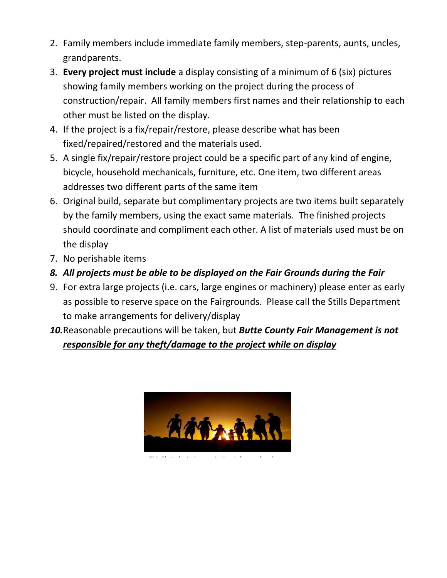- 2. Family members include immediate family members, step-parents, aunts, uncles, grandparents.
- 3. **Every project must include** a display consisting of a minimum of 6 (six) pictures showing family members working on the project during the process of construction/repair. All family members first names and their relationship to each other must be listed on the display.
- 4. If the project is a fix/repair/restore, please describe what has been fixed/repaired/restored and the materials used.
- 5. A single fix/repair/restore project could be a specific part of any kind of engine, bicycle, household mechanicals, furniture, etc. One item, two different areas addresses two different parts of the same item
- 6. Original build, separate but complimentary projects are two items built separately by the family members, using the exact same materials. The finished projects should coordinate and compliment each other. A list of materials used must be on the display
- 7. No perishable items
- *8. All projects must be able to be displayed on the Fair Grounds during the Fair*
- 9. For extra large projects (i.e. cars, large engines or machinery) please enter as early as possible to reserve space on the Fairgrounds. Please call the Stills Department to make arrangements for delivery/display
- *10.*Reasonable precautions will be taken, but *Butte County Fair Management is not responsible for any theft/damage to the project while on display*



[This Photo](https://www.getrealphilippines.com/2016/07/family-ties-bind/) by Unknown Author is licensed under